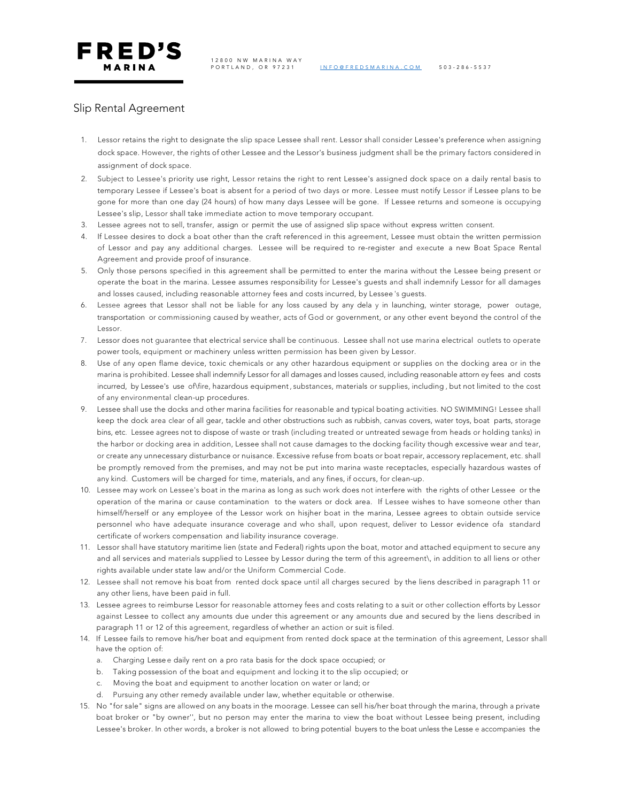

PORTLAND, OR 97231 INFO@FREDSMARINA.COM 503 - 286 - 5537



FRED'S MARINA

## Slip Rental Agreement

- 1. Lessor retains the right to designate the slip space Lessee shall rent. Lessor shall consider Lessee's preference when assigning dock space. However, the rights of other Lessee and the Lessor's business judgment shall be the primary factors considered in assignment of dock space.
- 2. Subject to Lessee's priority use right, Lessor retains the right to rent Lessee's assigned dock space on a daily rental basis to temporary Lessee if Lessee's boat is absent for a period of two days or more. Lessee must notify Lessor if Lessee plans to be gone for more than one day (24 hours) of how many days Lessee will be gone. If Lessee returns and someone is occupying Lessee's slip, Lessor shall take immediate action to move temporary occupant.
- 3. Lessee agrees not to sell, transfer, assign or permit the use of assigned slip space without express written consent.
- 4. If Lessee desires to dock a boat other than the craft referenced in this agreement, Lessee must obtain the written permission of Lessor and pay any additional charges. Lessee will be required to re-register and execute a new Boat Space Rental Agreement and provide proof of insurance.
- 5. Only those persons specified in this agreement shall be permitted to enter the marina without the Lessee being present or operate the boat in the marina. Lessee assumes responsibility for Lessee's guests and shall indemnify Lessor for all damages and losses caused, including reasonable attorney fees and costs incurred, by Lessee 's guests.
- 6. Lessee agrees that Lessor shall not be liable for any loss caused by any dela y in launching, winter storage, power outage, transportation or commissioning caused by weather, acts of God or government, or any other event beyond the control of the Lessor.
- 7. Lessor does not guarantee that electrical service shall be continuous. Lessee shall not use marina electrical outlets to operate power tools, equipment or machinery unless written permission has been given by Lessor.
- 8. Use of any open flame device, toxic chemicals or any other hazardous equipment or supplies on the docking area or in the marina is prohibited. Lessee shall indemnify Lessor for all damages and losses caused, including reasonable attorn ey fees and costs incurred, by Lessee's use of\fire, hazardous equipment, substances, materials or supplies, including , but not limited to the cost of any environmental clean-up procedures.
- 9. Lessee shall use the docks and other marina facilities for reasonable and typical boating activities. NO SWIMMING! Lessee shall keep the dock area clear of all gear, tackle and other obstructions such as rubbish, canvas covers, water toys, boat parts, storage bins, etc. Lessee agrees not to dispose of waste or trash (including treated or untreated sewage from heads or holding tanks) in the harbor or docking area in addition, Lessee shall not cause damages to the docking facility though excessive wear and tear, or create any unnecessary disturbance or nuisance. Excessive refuse from boats or boat repair, accessory replacement, etc. shall be promptly removed from the premises, and may not be put into marina waste receptacles, especially hazardous wastes of any kind. Customers will be charged for time, materials, and any fines, if occurs, for clean-up.
- 10. Lessee may work on Lessee's boat in the marina as long as such work does not interfere with the rights of other Lessee or the operation of the marina or cause contamination to the waters or dock area. If Lessee wishes to have someone other than himself/herself or any employee of the Lessor work on hisjher boat in the marina, Lessee agrees to obtain outside service personnel who have adequate insurance coverage and who shall, upon request, deliver to Lessor evidence ofa standard certificate of workers compensation and liability insurance coverage.
- 11. Lessor shall have statutory maritime lien (state and Federal) rights upon the boat, motor and attached equipment to secure any and all services and materials supplied to Lessee by Lessor during the term of this agreement\, in addition to all liens or other rights available under state law and/or the Uniform Commercial Code.
- 12. Lessee shall not remove his boat from rented dock space until all charges secured by the liens described in paragraph 11 or any other liens, have been paid in full.
- 13. Lessee agrees to reimburse Lessor for reasonable attorney fees and costs relating to a suit or other collection efforts by Lessor against Lessee to collect any amounts due under this agreement or any amounts due and secured by the liens described in paragraph 11 or 12 of this agreement, regardless of whether an action or suit is filed.
- 14. If Lessee fails to remove his/her boat and equipment from rented dock space at the termination of this agreement, Lessor shall have the option of:
	- a. Charging Lesse e daily rent on a pro rata basis for the dock space occupied; or
	- b. Taking possession of the boat and equipment and locking it to the slip occupied; or
	- c. Moving the boat and equipment to another location on water or land; or
	- d. Pursuing any other remedy available under law, whether equitable or otherwise.
- 15. No "for sale" signs are allowed on any boats in the moorage. Lessee can sell his/her boat through the marina, through a private boat broker or "by owner'', but no person may enter the marina to view the boat without Lessee being present, including Lessee's broker. In other words, a broker is not allowed to bring potential buyers to the boat unless the Lesse e accompanies the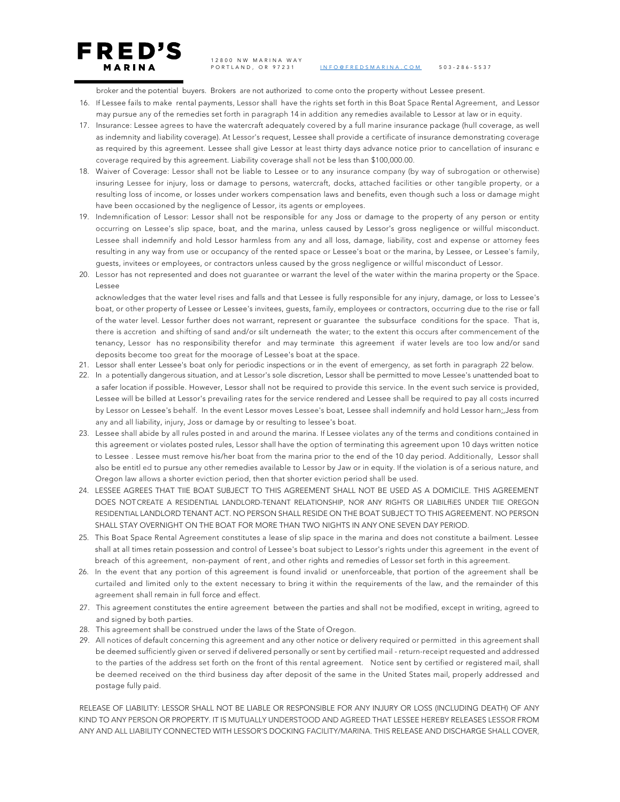12800 NW MARINA WAY

FRED'S MARINA

PORTLAND, OR 97231 INFO@FREDSMARINA.COM 503 - 286 - 5537

broker and the potential buyers. Brokers are not authorized to come onto the property without Lessee present.

- 16. If Lessee fails to make rental payments, Lessor shall have the rights set forth in this Boat Space Rental Agreement, and Lessor may pursue any of the remedies set forth in paragraph 14 in addition any remedies available to Lessor at law or in equity.
- 17. Insurance: Lessee agrees to have the watercraft adequately covered by a full marine insurance package (hull coverage, as well as indemnity and liability coverage). At Lessor's request, Lessee shall provide a certificate of insurance demonstrating coverage as required by this agreement. Lessee shall give Lessor at least thirty days advance notice prior to cancellation of insuranc e coverage required by this agreement. Liability coverage shall not be less than \$100,000.00.
- 18. Waiver of Coverage: Lessor shall not be liable to Lessee or to any insurance company (by way of subrogation or otherwise) insuring Lessee for injury, loss or damage to persons, watercraft, docks, attached facilities or other tangible property, or a resulting loss of income, or losses under workers compensation laws and benefits, even though such a loss or damage might have been occasioned by the negligence of Lessor, its agents or employees.
- 19. Indemnification of Lessor: Lessor shall not be responsible for any Joss or damage to the property of any person or entity occurring on Lessee's slip space, boat, and the marina, unless caused by Lessor's gross negligence or willful misconduct. Lessee shall indemnify and hold Lessor harmless from any and all loss, damage, liability, cost and expense or attorney fees resulting in any way from use or occupancy of the rented space or Lessee's boat or the marina, by Lessee, or Lessee's family, guests, invitees or employees, or contractors unless caused by the gross negligence or willful misconduct of Lessor.
- 20. Lessor has not represented and does not guarantee or warrant the level of the water within the marina property or the Space. Lessee

acknowledges that the water level rises and falls and that Lessee is fully responsible for any injury, damage, or loss to Lessee's boat, or other property of Lessee or Lessee's invitees, guests, family, employees or contractors, occurring due to the rise or fall of the water level. Lessor further does not warrant, represent or guarantee the subsurface conditions for the space. That is, there is accretion and shifting of sand and/or silt underneath the water; to the extent this occurs after commencement of the tenancy, Lessor has no responsibility therefor and may terminate this agreement if water levels are too low and/or sand deposits become too great for the moorage of Lessee's boat at the space.

- 21. Lessor shall enter Lessee's boat only for periodic inspections or in the event of emergency, as set forth in paragraph 22 below.
- 22. In a potentially dangerous situation, and at Lessor's sole discretion, Lessor shall be permitted to move Lessee's unattended boat to a safer location if possible. However, Lessor shall not be required to provide this service. In the event such service is provided, Lessee will be billed at Lessor's prevailing rates for the service rendered and Lessee shall be required to pay all costs incurred by Lessor on Lessee's behalf. In the event Lessor moves Lessee's boat, Lessee shall indemnify and hold Lessor harn;,Jess from any and all liability, injury, Joss or damage by or resulting to lessee's boat.
- 23. Lessee shall abide by all rules posted in and around the marina. If Lessee violates any of the terms and conditions contained in this agreement or violates posted rules, Lessor shall have the option of terminating this agreement upon 10 days written notice to Lessee . Lessee must remove his/her boat from the marina prior to the end of the 10 day period. Additionally, Lessor shall also be entitl ed to pursue any other remedies available to Lessor by Jaw or in equity. If the violation is of a serious nature, and Oregon law allows a shorter eviction period, then that shorter eviction period shall be used.
- 24. LESSEE AGREES THAT TIIE BOAT SUBJECT TO THIS AGREEMENT SHALL NOT BE USED AS A DOMICILE. THIS AGREEMENT DOES NOT CREATE A RESIDENTIAL LANDLORD-TENANT RELATIONSHIP, NOR ANY RIGHTS OR LIABILffiES UNDER TIIE OREGON RESIDENTIAL LANDLORD TENANT ACT. NO PERSON SHALL RESIDE ON THE BOAT SUBJECT TO THIS AGREEMENT. NO PERSON SHALL STAY OVERNIGHT ON THE BOAT FOR MORE THAN TWO NIGHTS IN ANY ONE SEVEN DAY PERIOD.
- 25. This Boat Space Rental Agreement constitutes a lease of slip space in the marina and does not constitute a bailment. Lessee shall at all times retain possession and control of Lessee's boat subject to Lessor's rights under this agreement in the event of breach of this agreement, non-payment of rent, and other rights and remedies of Lessor set forth in this agreement.
- 26. In the event that any portion of this agreement is found invalid or unenforceable, that portion of the agreement shall be curtailed and limited only to the extent necessary to bring it within the requirements of the law, and the remainder of this agreement shall remain in full force and effect.
- 27. This agreement constitutes the entire agreement between the parties and shall not be modified, except in writing, agreed to and signed by both parties.
- 28. This agreement shall be construed under the laws of the State of Oregon.
- 29. All notices of default concerning this agreement and any other notice or delivery required or permitted in this agreement shall be deemed sufficiently given or served if delivered personally or sent by certified mail - return-receipt requested and addressed to the parties of the address set forth on the front of this rental agreement. Notice sent by certified or registered mail, shall be deemed received on the third business day after deposit of the same in the United States mail, properly addressed and postage fully paid.

RELEASE OF LIABILITY: LESSOR SHALL NOT BE LIABLE OR RESPONSIBLE FOR ANY INJURY OR LOSS (INCLUDING DEATH) OF ANY KIND TO ANY PERSON OR PROPERTY. IT IS MUTUALLY UNDERSTOOD AND AGREED THAT LESSEE HEREBY RELEASES LESSOR FROM ANY AND ALL LIABILITY CONNECTED WITH LESSOR'S DOCKING FACILITY/MARINA. THIS RELEASE AND DISCHARGE SHALL COVER,